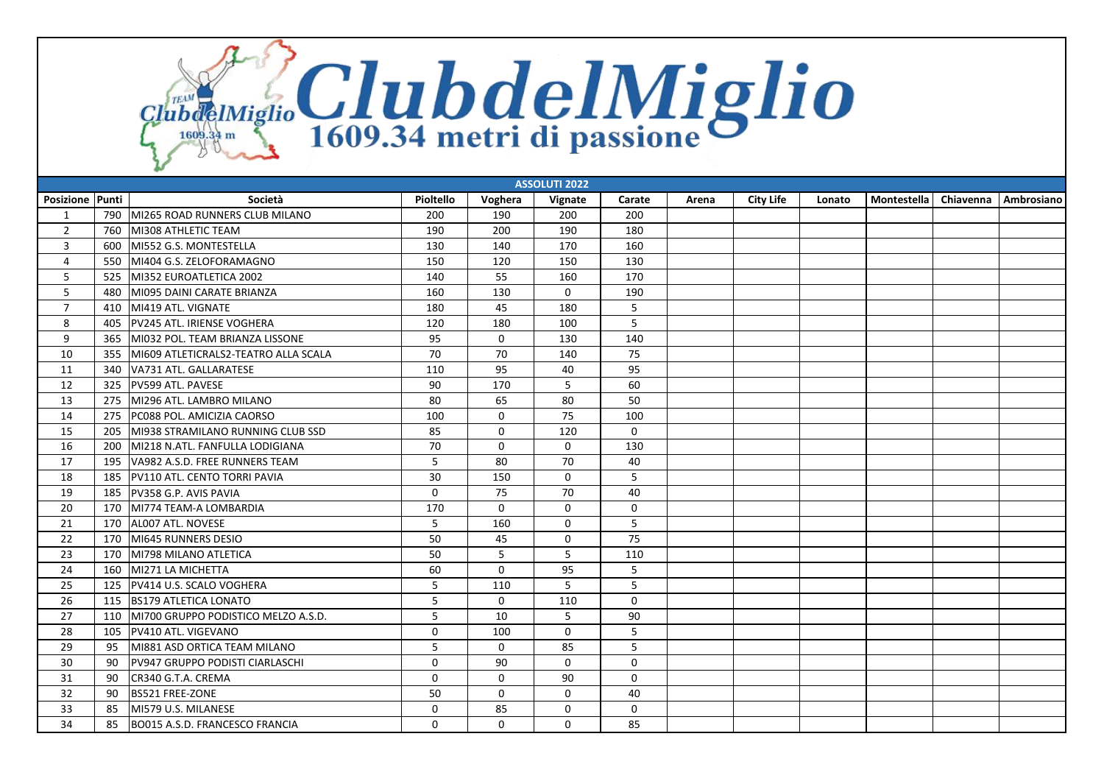ClubdeIMiglio ClubdelMiglio

| <b>ASSOLUTI 2022</b> |     |                                        |             |              |              |             |       |                  |        |             |           |            |
|----------------------|-----|----------------------------------------|-------------|--------------|--------------|-------------|-------|------------------|--------|-------------|-----------|------------|
| Posizione Punti      |     | Società                                | Pioltello   | Voghera      | Vignate      | Carate      | Arena | <b>City Life</b> | Lonato | Montestella | Chiavenna | Ambrosiano |
| 1                    | 790 | MI265 ROAD RUNNERS CLUB MILANO         | 200         | 190          | 200          | 200         |       |                  |        |             |           |            |
| $\overline{2}$       | 760 | MI308 ATHLETIC TEAM                    | 190         | 200          | 190          | 180         |       |                  |        |             |           |            |
| 3                    | 600 | MI552 G.S. MONTESTELLA                 | 130         | 140          | 170          | 160         |       |                  |        |             |           |            |
| $\overline{4}$       | 550 | MI404 G.S. ZELOFORAMAGNO               | 150         | 120          | 150          | 130         |       |                  |        |             |           |            |
| 5                    | 525 | MI352 EUROATLETICA 2002                | 140         | 55           | 160          | 170         |       |                  |        |             |           |            |
| 5                    | 480 | MI095 DAINI CARATE BRIANZA             | 160         | 130          | $\mathbf 0$  | 190         |       |                  |        |             |           |            |
| $\overline{7}$       | 410 | MI419 ATL. VIGNATE                     | 180         | 45           | 180          | 5           |       |                  |        |             |           |            |
| 8                    | 405 | PV245 ATL. IRIENSE VOGHERA             | 120         | 180          | 100          | 5           |       |                  |        |             |           |            |
| 9                    | 365 | MI032 POL. TEAM BRIANZA LISSONE        | 95          | $\mathbf 0$  | 130          | 140         |       |                  |        |             |           |            |
| 10                   | 355 | MI609 ATLETICRALS2-TEATRO ALLA SCALA   | 70          | 70           | 140          | 75          |       |                  |        |             |           |            |
| 11                   | 340 | VA731 ATL. GALLARATESE                 | 110         | 95           | 40           | 95          |       |                  |        |             |           |            |
| 12                   | 325 | PV599 ATL. PAVESE                      | 90          | 170          | 5            | 60          |       |                  |        |             |           |            |
| 13                   | 275 | MI296 ATL. LAMBRO MILANO               | 80          | 65           | 80           | 50          |       |                  |        |             |           |            |
| 14                   | 275 | PC088 POL. AMICIZIA CAORSO             | 100         | $\mathbf 0$  | 75           | 100         |       |                  |        |             |           |            |
| 15                   | 205 | MI938 STRAMILANO RUNNING CLUB SSD      | 85          | $\mathbf 0$  | 120          | $\mathbf 0$ |       |                  |        |             |           |            |
| 16                   | 200 | MI218 N.ATL. FANFULLA LODIGIANA        | 70          | $\mathbf 0$  | $\mathbf 0$  | 130         |       |                  |        |             |           |            |
| 17                   | 195 | VA982 A.S.D. FREE RUNNERS TEAM         | 5           | 80           | 70           | 40          |       |                  |        |             |           |            |
| 18                   | 185 | PV110 ATL. CENTO TORRI PAVIA           | 30          | 150          | $\mathbf 0$  | 5           |       |                  |        |             |           |            |
| 19                   | 185 | PV358 G.P. AVIS PAVIA                  | $\mathbf 0$ | 75           | 70           | 40          |       |                  |        |             |           |            |
| 20                   | 170 | MI774 TEAM-A LOMBARDIA                 | 170         | $\mathbf 0$  | $\mathbf 0$  | $\mathbf 0$ |       |                  |        |             |           |            |
| 21                   | 170 | AL007 ATL. NOVESE                      | 5           | 160          | $\mathbf 0$  | 5           |       |                  |        |             |           |            |
| 22                   | 170 | MI645 RUNNERS DESIO                    | 50          | 45           | 0            | 75          |       |                  |        |             |           |            |
| 23                   | 170 | MI798 MILANO ATLETICA                  | 50          | 5            | 5            | 110         |       |                  |        |             |           |            |
| 24                   | 160 | MI271 LA MICHETTA                      | 60          | $\mathbf 0$  | 95           | 5           |       |                  |        |             |           |            |
| 25                   | 125 | PV414 U.S. SCALO VOGHERA               | 5           | 110          | 5            | 5           |       |                  |        |             |           |            |
| 26                   | 115 | <b>BS179 ATLETICA LONATO</b>           | 5           | $\mathbf 0$  | 110          | $\mathbf 0$ |       |                  |        |             |           |            |
| 27                   | 110 | MI700 GRUPPO PODISTICO MELZO A.S.D.    | 5           | 10           | 5            | 90          |       |                  |        |             |           |            |
| 28                   | 105 | PV410 ATL. VIGEVANO                    | $\mathbf 0$ | 100          | $\mathbf 0$  | 5           |       |                  |        |             |           |            |
| 29                   | 95  | MI881 ASD ORTICA TEAM MILANO           | 5           | $\Omega$     | 85           | 5           |       |                  |        |             |           |            |
| 30                   | 90  | <b>PV947 GRUPPO PODISTI CIARLASCHI</b> | $\mathbf 0$ | 90           | $\mathbf 0$  | $\mathbf 0$ |       |                  |        |             |           |            |
| 31                   | 90  | CR340 G.T.A. CREMA                     | $\mathbf 0$ | $\mathbf 0$  | 90           | $\mathbf 0$ |       |                  |        |             |           |            |
| 32                   | 90  | <b>BS521 FREE-ZONE</b>                 | 50          | $\mathbf{0}$ | $\Omega$     | 40          |       |                  |        |             |           |            |
| 33                   | 85  | MI579 U.S. MILANESE                    | 0           | 85           | 0            | 0           |       |                  |        |             |           |            |
| 34                   | 85  | BO015 A.S.D. FRANCESCO FRANCIA         | $\Omega$    | $\mathbf{0}$ | $\mathbf{0}$ | 85          |       |                  |        |             |           |            |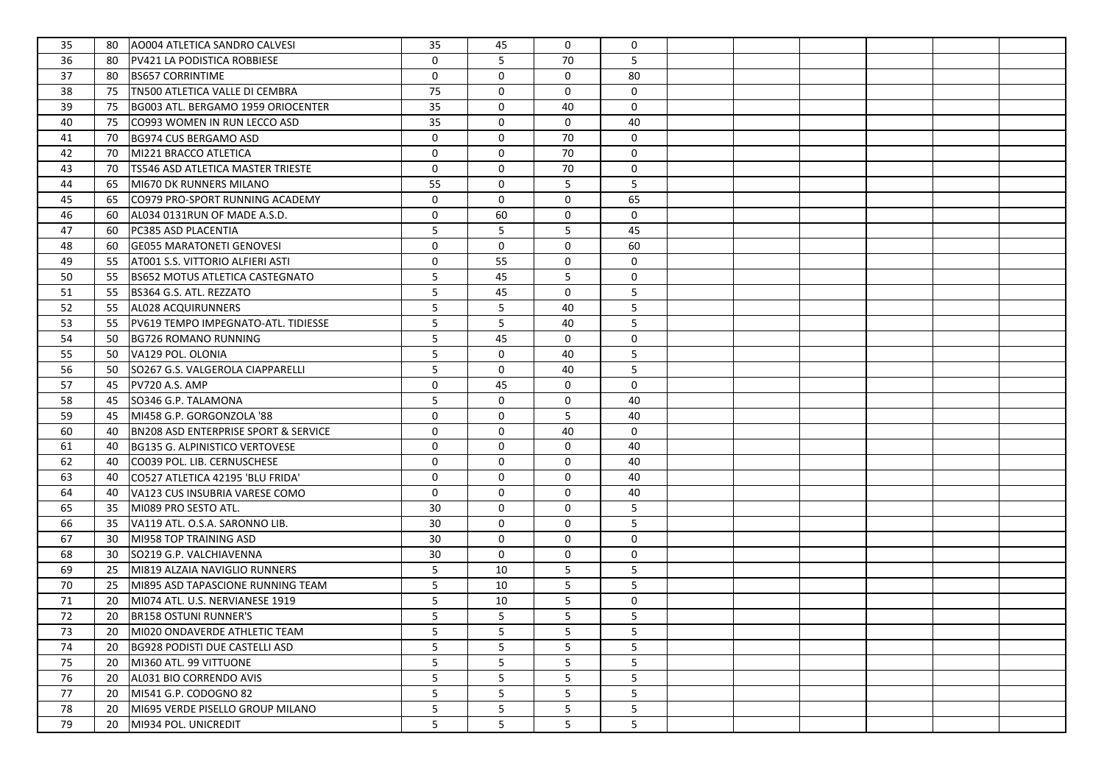| 35 | AO004 ATLETICA SANDRO CALVESI<br>80                   | 35          | 45          | $\mathbf 0$ | $\mathbf 0$ |  |  |  |
|----|-------------------------------------------------------|-------------|-------------|-------------|-------------|--|--|--|
| 36 | 80<br>PV421 LA PODISTICA ROBBIESE                     | $\mathbf 0$ | 5           | 70          | 5           |  |  |  |
| 37 | <b>BS657 CORRINTIME</b><br>80                         | 0           | $\mathbf 0$ | $\mathbf 0$ | 80          |  |  |  |
| 38 | TN500 ATLETICA VALLE DI CEMBRA<br>75                  | 75          | $\mathbf 0$ | $\mathbf 0$ | $\mathbf 0$ |  |  |  |
| 39 | BG003 ATL. BERGAMO 1959 ORIOCENTER<br>75              | 35          | $\mathbf 0$ | 40          | $\mathbf 0$ |  |  |  |
| 40 | 75<br>CO993 WOMEN IN RUN LECCO ASD                    | 35          | $\mathbf 0$ | $\mathbf 0$ | 40          |  |  |  |
| 41 | BG974 CUS BERGAMO ASD<br>70                           | $\mathbf 0$ | $\mathbf 0$ | 70          | $\mathbf 0$ |  |  |  |
| 42 | MI221 BRACCO ATLETICA<br>70                           | $\mathbf 0$ | $\mathbf 0$ | 70          | $\mathbf 0$ |  |  |  |
| 43 | <b>TS546 ASD ATLETICA MASTER TRIESTE</b><br>70        | 0           | $\mathbf 0$ | 70          | 0           |  |  |  |
| 44 | 65<br>MI670 DK RUNNERS MILANO                         | 55          | $\mathbf 0$ | 5           | 5           |  |  |  |
| 45 | CO979 PRO-SPORT RUNNING ACADEMY<br>65                 | $\mathbf 0$ | $\mathbf 0$ | $\mathbf 0$ | 65          |  |  |  |
| 46 | 60<br>AL034 0131RUN OF MADE A.S.D.                    | $\mathbf 0$ | 60          | $\mathbf 0$ | 0           |  |  |  |
| 47 | 60<br>PC385 ASD PLACENTIA                             | 5           | 5           | 5           | 45          |  |  |  |
| 48 | <b>GE055 MARATONETI GENOVESI</b><br>60                | 0           | $\mathbf 0$ | $\mathbf 0$ | 60          |  |  |  |
| 49 | AT001 S.S. VITTORIO ALFIERI ASTI<br>55                | 0           | 55          | 0           | $\mathbf 0$ |  |  |  |
| 50 | <b>BS652 MOTUS ATLETICA CASTEGNATO</b><br>55          | 5           | 45          | 5           | 0           |  |  |  |
| 51 | BS364 G.S. ATL. REZZATO<br>55                         | 5           | 45          | 0           | 5           |  |  |  |
| 52 | AL028 ACQUIRUNNERS<br>55                              | 5           | 5           | 40          | 5           |  |  |  |
| 53 | PV619 TEMPO IMPEGNATO-ATL. TIDIESSE<br>55             | 5           | 5           | 40          | 5           |  |  |  |
| 54 | <b>BG726 ROMANO RUNNING</b><br>50                     | 5           | 45          | $\mathbf 0$ | 0           |  |  |  |
| 55 | VA129 POL. OLONIA<br>50                               | 5           | $\mathbf 0$ | 40          | 5           |  |  |  |
| 56 | SO267 G.S. VALGEROLA CIAPPARELLI<br>50                | 5           | $\mathbf 0$ | 40          | 5           |  |  |  |
| 57 | PV720 A.S. AMP<br>45                                  | $\mathbf 0$ | 45          | 0           | 0           |  |  |  |
| 58 | SO346 G.P. TALAMONA<br>45                             | 5           | $\mathbf 0$ | 0           | 40          |  |  |  |
| 59 | MI458 G.P. GORGONZOLA '88 <br>45                      | $\mathbf 0$ | $\mathbf 0$ | 5           | 40          |  |  |  |
| 60 | <b>BN208 ASD ENTERPRISE SPORT &amp; SERVICE</b><br>40 | 0           | $\mathbf 0$ | 40          | 0           |  |  |  |
| 61 | <b>BG135 G. ALPINISTICO VERTOVESE</b><br>40           | $\mathbf 0$ | $\mathbf 0$ | $\mathbf 0$ | 40          |  |  |  |
| 62 | CO039 POL. LIB. CERNUSCHESE<br>40                     | 0           | $\mathbf 0$ | $\mathbf 0$ | 40          |  |  |  |
| 63 | CO527 ATLETICA 42195 'BLU FRIDA'<br>40                | 0           | $\mathbf 0$ | $\mathbf 0$ | 40          |  |  |  |
| 64 | 40<br>VA123 CUS INSUBRIA VARESE COMO                  | $\mathbf 0$ | $\mathbf 0$ | $\mathbf 0$ | 40          |  |  |  |
| 65 | MI089 PRO SESTO ATL.<br>35                            | 30          | $\mathbf 0$ | $\mathbf 0$ | 5           |  |  |  |
| 66 | VA119 ATL. O.S.A. SARONNO LIB.<br>35                  | 30          | $\mathbf 0$ | $\mathbf 0$ | 5           |  |  |  |
| 67 | MI958 TOP TRAINING ASD<br>30                          | 30          | $\mathbf 0$ | $\mathbf 0$ | $\mathbf 0$ |  |  |  |
| 68 | SO219 G.P. VALCHIAVENNA<br>30                         | 30          | $\mathbf 0$ | 0           | 0           |  |  |  |
| 69 | MI819 ALZAIA NAVIGLIO RUNNERS<br>25                   | 5           | 10          | 5           | 5           |  |  |  |
| 70 | MI895 ASD TAPASCIONE RUNNING TEAM<br>25               | 5           | 10          | 5           | 5           |  |  |  |
| 71 | MI074 ATL. U.S. NERVIANESE 1919<br>20                 | 5           | 10          | 5           | 0           |  |  |  |
| 72 | 20<br><b>BR158 OSTUNI RUNNER'S</b>                    | 5           | 5           | 5           | 5           |  |  |  |
| 73 | MI020 ONDAVERDE ATHLETIC TEAM<br>20                   | 5           | 5           | 5           | 5           |  |  |  |
| 74 | 20<br><b>BG928 PODISTI DUE CASTELLI ASD</b>           | 5           | 5           | 5           | 5           |  |  |  |
| 75 | MI360 ATL. 99 VITTUONE<br>20                          | 5           | 5           | 5           | 5           |  |  |  |
| 76 | AL031 BIO CORRENDO AVIS<br>20                         | 5           | 5           | 5           | 5           |  |  |  |
| 77 | MI541 G.P. CODOGNO 82<br>20                           | 5           | 5           | 5           | 5           |  |  |  |
| 78 | MI695 VERDE PISELLO GROUP MILANO<br>20                | 5           | 5           | 5           | 5           |  |  |  |
| 79 | MI934 POL. UNICREDIT<br>20                            | 5           | 5           | 5           | 5           |  |  |  |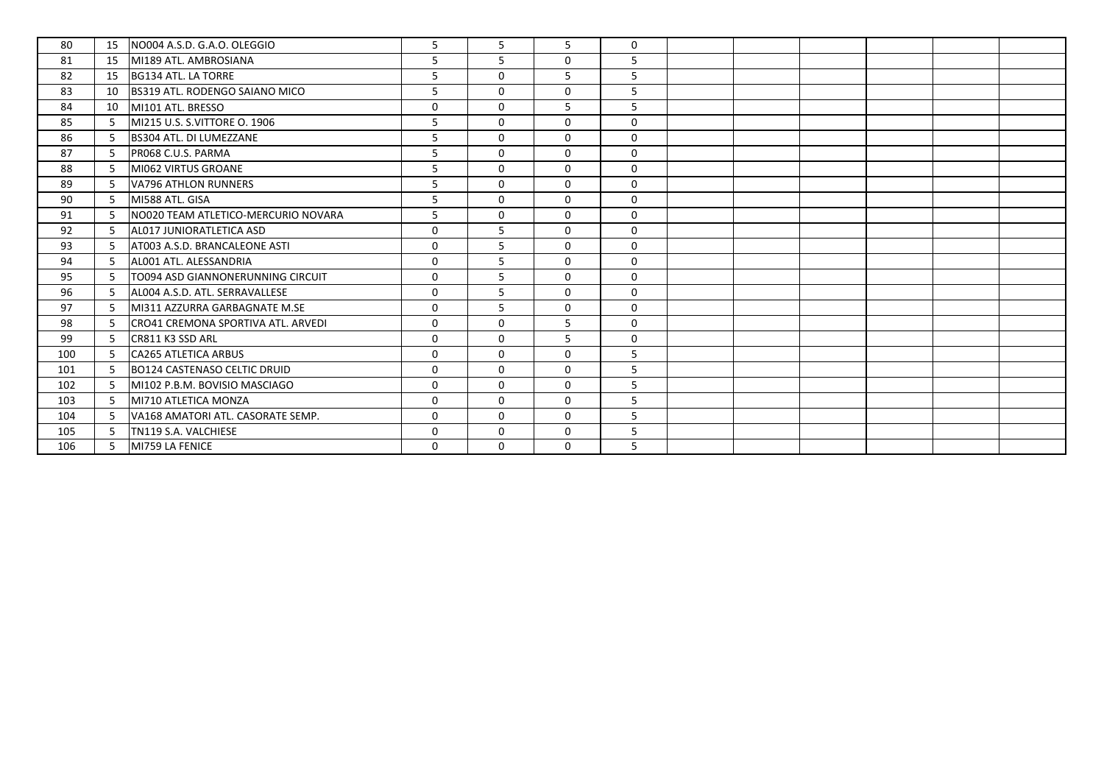| 80  | 15  | NO004 A.S.D. G.A.O. OLEGGIO           | $\overline{5}$ | $\overline{5}$ | 5            | $\mathbf{0}$ |  |  |  |
|-----|-----|---------------------------------------|----------------|----------------|--------------|--------------|--|--|--|
| 81  | 15  | MI189 ATL, AMBROSIANA                 | 5              | 5              | 0            | 5            |  |  |  |
| 82  | 15  | BG134 ATL. LA TORRE                   | 5              | $\Omega$       | 5            | 5            |  |  |  |
| 83  | 10  | <b>BS319 ATL. RODENGO SAIANO MICO</b> | 5              | $\mathbf 0$    | $\mathbf 0$  | 5            |  |  |  |
| 84  | 10  | MI101 ATL. BRESSO                     | $\Omega$       | $\Omega$       | 5            | 5            |  |  |  |
| 85  | -5  | MI215 U.S. S.VITTORE O. 1906          | 5              | $\mathbf 0$    | $\mathbf 0$  | $\mathbf 0$  |  |  |  |
| 86  | 5   | <b>BS304 ATL. DI LUMEZZANE</b>        | 5              | $\mathbf 0$    | 0            | $\mathbf 0$  |  |  |  |
| 87  | -5  | PR068 C.U.S. PARMA                    | 5              | $\mathbf 0$    | $\mathbf 0$  | $\mathbf 0$  |  |  |  |
| 88  | -5  | MI062 VIRTUS GROANE                   | 5              | $\mathbf{0}$   | $\mathbf{0}$ | $\Omega$     |  |  |  |
| 89  | -5  | VA796 ATHLON RUNNERS                  | 5              | $\mathbf 0$    | 0            | $\mathbf 0$  |  |  |  |
| 90  | -5  | MI588 ATL, GISA                       | 5              | $\Omega$       | $\mathbf{0}$ | $\Omega$     |  |  |  |
| 91  | 5   | NO020 TEAM ATLETICO-MERCURIO NOVARA   | 5              | $\mathbf 0$    | $\mathbf 0$  | $\mathbf 0$  |  |  |  |
| 92  | -5  | AL017 JUNIORATLETICA ASD              | $\Omega$       | 5              | $\mathbf 0$  | $\Omega$     |  |  |  |
| 93  | -5  | AT003 A.S.D. BRANCALEONE ASTI         | $\Omega$       | 5              | $\mathbf 0$  | $\mathbf 0$  |  |  |  |
| 94  | 5   | AL001 ATL. ALESSANDRIA                | $\mathbf 0$    | 5              | 0            | $\mathbf 0$  |  |  |  |
| 95  | -5  | TO094 ASD GIANNONERUNNING CIRCUIT     | $\mathbf 0$    | 5              | $\mathbf 0$  | $\mathbf 0$  |  |  |  |
| 96  | -5  | AL004 A.S.D. ATL. SERRAVALLESE        | $\Omega$       | 5              | $\mathbf 0$  | $\Omega$     |  |  |  |
| 97  | 5   | MI311 AZZURRA GARBAGNATE M.SE         | $\mathbf{0}$   | 5              | 0            | $\mathbf 0$  |  |  |  |
| 98  | -5  | CRO41 CREMONA SPORTIVA ATL. ARVEDI    | $\mathbf{0}$   | $\mathbf{0}$   | 5            | $\mathbf 0$  |  |  |  |
| 99  | 5   | CR811 K3 SSD ARL                      | $\Omega$       | $\Omega$       | 5            | $\mathbf 0$  |  |  |  |
| 100 | 5   | <b>CA265 ATLETICA ARBUS</b>           | $\mathbf 0$    | $\mathbf{0}$   | $\mathbf 0$  | 5            |  |  |  |
| 101 | -5. | BO124 CASTENASO CELTIC DRUID          | $\Omega$       | $\Omega$       | $\mathbf 0$  | 5            |  |  |  |
| 102 | -5. | MI102 P.B.M. BOVISIO MASCIAGO         | $\mathbf 0$    | $\mathbf 0$    | 0            | 5            |  |  |  |
| 103 | -5  | MI710 ATLETICA MONZA                  | $\mathbf 0$    | $\mathbf 0$    | $\mathbf 0$  | 5            |  |  |  |
| 104 | -5  | VA168 AMATORI ATL. CASORATE SEMP.     | $\Omega$       | $\Omega$       | 0            | 5            |  |  |  |
| 105 | -5  | TN119 S.A. VALCHIESE                  | $\Omega$       | 0              | 0            | 5            |  |  |  |
| 106 | -5. | MI759 LA FENICE                       | $\mathbf 0$    | $\mathbf 0$    | $\mathbf 0$  | 5            |  |  |  |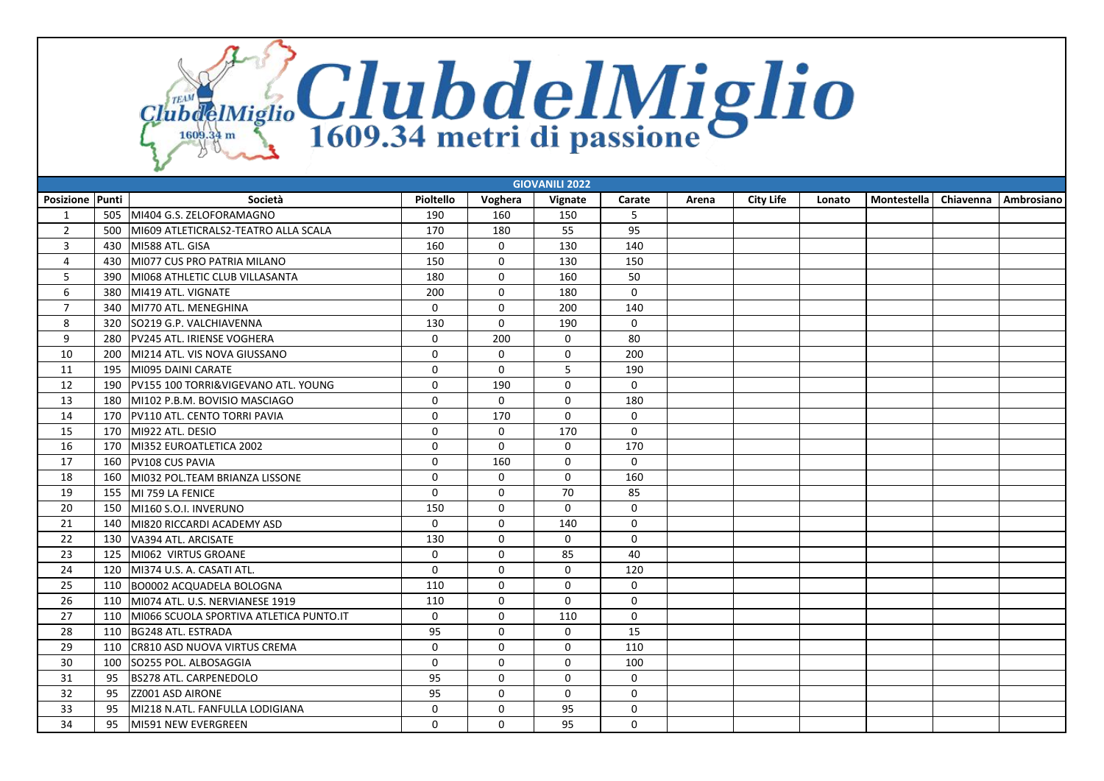ClubdeIMiglio ClubdelMiglio

| <b>GIOVANILI 2022</b> |     |                                         |              |              |              |             |       |                  |        |             |           |            |
|-----------------------|-----|-----------------------------------------|--------------|--------------|--------------|-------------|-------|------------------|--------|-------------|-----------|------------|
| Posizione Punti       |     | Società                                 | Pioltello    | Voghera      | Vignate      | Carate      | Arena | <b>City Life</b> | Lonato | Montestella | Chiavenna | Ambrosiano |
| 1                     | 505 | MI404 G.S. ZELOFORAMAGNO                | 190          | 160          | 150          | 5           |       |                  |        |             |           |            |
| $\overline{2}$        | 500 | MI609 ATLETICRALS2-TEATRO ALLA SCALA    | 170          | 180          | 55           | 95          |       |                  |        |             |           |            |
| 3                     | 430 | MI588 ATL, GISA                         | 160          | $\mathbf 0$  | 130          | 140         |       |                  |        |             |           |            |
| 4                     | 430 | MI077 CUS PRO PATRIA MILANO             | 150          | $\mathbf 0$  | 130          | 150         |       |                  |        |             |           |            |
| 5                     | 390 | MI068 ATHLETIC CLUB VILLASANTA          | 180          | $\mathbf 0$  | 160          | 50          |       |                  |        |             |           |            |
| 6                     | 380 | MI419 ATL, VIGNATE                      | 200          | $\mathbf 0$  | 180          | $\mathbf 0$ |       |                  |        |             |           |            |
| $\overline{7}$        | 340 | MI770 ATL, MENEGHINA                    | $\Omega$     | $\mathbf 0$  | 200          | 140         |       |                  |        |             |           |            |
| 8                     | 320 | SO219 G.P. VALCHIAVENNA                 | 130          | $\mathbf 0$  | 190          | $\mathbf 0$ |       |                  |        |             |           |            |
| 9                     | 280 | PV245 ATL. IRIENSE VOGHERA              | $\mathbf 0$  | 200          | $\mathbf 0$  | 80          |       |                  |        |             |           |            |
| 10                    | 200 | MI214 ATL, VIS NOVA GIUSSANO            | $\mathbf{0}$ | $\Omega$     | $\mathbf 0$  | 200         |       |                  |        |             |           |            |
| 11                    | 195 | MI095 DAINI CARATE                      | $\Omega$     | $\Omega$     | 5            | 190         |       |                  |        |             |           |            |
| 12                    | 190 | PV155 100 TORRI&VIGEVANO ATL. YOUNG     | $\mathbf 0$  | 190          | $\Omega$     | $\mathbf 0$ |       |                  |        |             |           |            |
| 13                    | 180 | MI102 P.B.M. BOVISIO MASCIAGO           | $\mathbf 0$  | $\mathbf 0$  | $\mathbf 0$  | 180         |       |                  |        |             |           |            |
| 14                    | 170 | PV110 ATL. CENTO TORRI PAVIA            | $\mathbf{0}$ | 170          | $\mathbf 0$  | $\Omega$    |       |                  |        |             |           |            |
| 15                    | 170 | MI922 ATL. DESIO                        | $\mathbf 0$  | $\mathbf 0$  | 170          | $\mathbf 0$ |       |                  |        |             |           |            |
| 16                    | 170 | MI352 EUROATLETICA 2002                 | $\mathbf{0}$ | $\Omega$     | $\mathbf 0$  | 170         |       |                  |        |             |           |            |
| 17                    | 160 | <b>PV108 CUS PAVIA</b>                  | $\mathbf 0$  | 160          | 0            | $\mathbf 0$ |       |                  |        |             |           |            |
| 18                    | 160 | MI032 POL.TEAM BRIANZA LISSONE          | $\mathbf 0$  | $\mathbf{0}$ | $\mathbf 0$  | 160         |       |                  |        |             |           |            |
| 19                    | 155 | MI 759 LA FENICE                        | $\mathbf 0$  | $\mathbf 0$  | 70           | 85          |       |                  |        |             |           |            |
| 20                    | 150 | MI160 S.O.I. INVERUNO                   | 150          | $\Omega$     | $\Omega$     | $\Omega$    |       |                  |        |             |           |            |
| 21                    | 140 | MI820 RICCARDI ACADEMY ASD              | $\mathbf 0$  | $\mathbf 0$  | 140          | 0           |       |                  |        |             |           |            |
| 22                    | 130 | VA394 ATL. ARCISATE                     | 130          | $\Omega$     | $\mathbf 0$  | 0           |       |                  |        |             |           |            |
| 23                    | 125 | MI062 VIRTUS GROANE                     | $\mathbf 0$  | $\mathbf 0$  | 85           | 40          |       |                  |        |             |           |            |
| 24                    | 120 | MI374 U.S. A. CASATI ATL.               | $\Omega$     | $\Omega$     | $\Omega$     | 120         |       |                  |        |             |           |            |
| 25                    | 110 | <b>BO0002 ACQUADELA BOLOGNA</b>         | 110          | $\mathbf 0$  | $\mathbf 0$  | $\mathbf 0$ |       |                  |        |             |           |            |
| 26                    | 110 | MI074 ATL, U.S. NERVIANESE 1919         | 110          | $\Omega$     | $\mathbf{0}$ | $\Omega$    |       |                  |        |             |           |            |
| 27                    | 110 | MI066 SCUOLA SPORTIVA ATLETICA PUNTO.IT | $\mathbf 0$  | $\mathbf 0$  | 110          | $\mathbf 0$ |       |                  |        |             |           |            |
| 28                    | 110 | BG248 ATL. ESTRADA                      | 95           | $\Omega$     | $\Omega$     | 15          |       |                  |        |             |           |            |
| 29                    | 110 | CR810 ASD NUOVA VIRTUS CREMA            | $\mathbf 0$  | $\Omega$     | $\mathbf 0$  | 110         |       |                  |        |             |           |            |
| 30                    | 100 | SO255 POL. ALBOSAGGIA                   | $\mathbf 0$  | $\Omega$     | $\Omega$     | 100         |       |                  |        |             |           |            |
| 31                    | 95  | <b>BS278 ATL. CARPENEDOLO</b>           | 95           | $\mathbf 0$  | $\mathbf 0$  | $\mathbf 0$ |       |                  |        |             |           |            |
| 32                    | 95  | ZZ001 ASD AIRONE                        | 95           | $\Omega$     | $\mathbf 0$  | $\mathbf 0$ |       |                  |        |             |           |            |
| 33                    | 95  | MI218 N.ATL. FANFULLA LODIGIANA         | 0            | $\mathbf 0$  | 95           | 0           |       |                  |        |             |           |            |
| 34                    | 95  | <b>IMI591 NEW EVERGREEN</b>             | $\Omega$     | $\Omega$     | 95           | $\Omega$    |       |                  |        |             |           |            |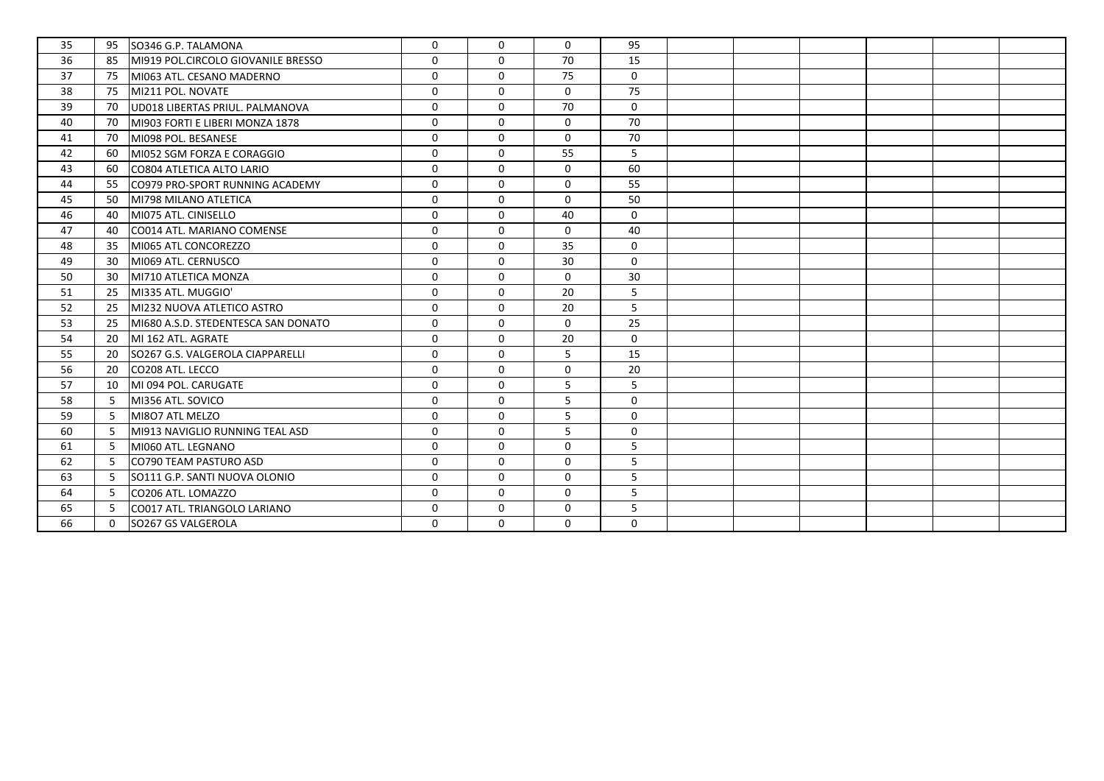| 35 | 95       | SO346 G.P. TALAMONA                 | $\mathbf 0$ | $\Omega$    | $\mathbf 0$  | 95          |  |  |  |
|----|----------|-------------------------------------|-------------|-------------|--------------|-------------|--|--|--|
| 36 | 85       | MI919 POL.CIRCOLO GIOVANILE BRESSO  | $\Omega$    | $\Omega$    | 70           | 15          |  |  |  |
| 37 | 75       | MI063 ATL. CESANO MADERNO           | $\mathbf 0$ | $\mathbf 0$ | 75           | $\mathbf 0$ |  |  |  |
| 38 | 75       | MI211 POL. NOVATE                   | $\mathbf 0$ | $\mathbf 0$ | 0            | 75          |  |  |  |
| 39 | 70       | UD018 LIBERTAS PRIUL. PALMANOVA     | $\Omega$    | $\Omega$    | 70           | $\mathbf 0$ |  |  |  |
| 40 | 70       | MI903 FORTI E LIBERI MONZA 1878     | $\Omega$    | $\Omega$    | $\mathbf 0$  | 70          |  |  |  |
| 41 | 70       | MI098 POL. BESANESE                 | $\mathbf 0$ | $\mathbf 0$ | 0            | 70          |  |  |  |
| 42 | 60       | MI052 SGM FORZA E CORAGGIO          | $\Omega$    | $\Omega$    | 55           | 5           |  |  |  |
| 43 | 60       | CO804 ATLETICA ALTO LARIO           | $\mathbf 0$ | $\mathbf 0$ | 0            | 60          |  |  |  |
| 44 | 55       | CO979 PRO-SPORT RUNNING ACADEMY     | $\mathbf 0$ | $\mathbf 0$ | $\mathbf 0$  | 55          |  |  |  |
| 45 | 50       | MI798 MILANO ATLETICA               | $\Omega$    | $\Omega$    | $\mathbf{0}$ | 50          |  |  |  |
| 46 | 40       | MI075 ATL. CINISELLO                | $\Omega$    | $\Omega$    | 40           | $\mathbf 0$ |  |  |  |
| 47 | 40       | CO014 ATL. MARIANO COMENSE          | $\mathbf 0$ | $\mathbf 0$ | $\mathbf 0$  | 40          |  |  |  |
| 48 | 35       | MI065 ATL CONCOREZZO                | $\Omega$    | $\mathbf 0$ | 35           | $\mathbf 0$ |  |  |  |
| 49 | 30       | MI069 ATL. CERNUSCO                 | $\mathbf 0$ | $\mathbf 0$ | 30           | $\mathbf 0$ |  |  |  |
| 50 | 30       | MI710 ATLETICA MONZA                | $\mathbf 0$ | $\mathbf 0$ | $\mathbf 0$  | 30          |  |  |  |
| 51 | 25       | MI335 ATL. MUGGIO'                  | $\Omega$    | $\Omega$    | 20           | 5           |  |  |  |
| 52 | 25       | MI232 NUOVA ATLETICO ASTRO          | $\mathbf 0$ | $\mathbf 0$ | 20           | 5           |  |  |  |
| 53 | 25       | MI680 A.S.D. STEDENTESCA SAN DONATO | $\Omega$    | $\Omega$    | $\mathbf 0$  | 25          |  |  |  |
| 54 | 20       | MI 162 ATL. AGRATE                  | $\Omega$    | $\Omega$    | 20           | $\mathbf 0$ |  |  |  |
| 55 | 20       | SO267 G.S. VALGEROLA CIAPPARELLI    | $\mathbf 0$ | $\Omega$    | 5            | 15          |  |  |  |
| 56 | 20       | lCO208 ATL. LECCO                   | $\Omega$    | $\Omega$    | $\mathbf 0$  | 20          |  |  |  |
| 57 | 10       | MI 094 POL. CARUGATE                | $\mathbf 0$ | $\mathbf 0$ | 5            | 5           |  |  |  |
| 58 | -5       | MI356 ATL. SOVICO                   | $\mathbf 0$ | $\Omega$    | 5            | $\mathbf 0$ |  |  |  |
| 59 | -5       | MI8O7 ATL MELZO                     | $\Omega$    | $\Omega$    | 5            | $\mathbf 0$ |  |  |  |
| 60 | -5       | MI913 NAVIGLIO RUNNING TEAL ASD     | $\mathbf 0$ | $\mathbf 0$ | 5            | 0           |  |  |  |
| 61 | -5       | MI060 ATL. LEGNANO                  | $\mathbf 0$ | $\mathbf 0$ | $\mathbf 0$  | 5           |  |  |  |
| 62 | -5       | CO790 TEAM PASTURO ASD              | $\mathbf 0$ | $\mathbf 0$ | $\mathbf 0$  | 5           |  |  |  |
| 63 | -5       | SO111 G.P. SANTI NUOVA OLONIO       | $\mathbf 0$ | $\mathbf 0$ | $\mathbf 0$  | 5           |  |  |  |
| 64 | -5       | CO206 ATL. LOMAZZO                  | $\Omega$    | $\Omega$    | $\mathbf{0}$ | 5           |  |  |  |
| 65 | -5.      | CO017 ATL. TRIANGOLO LARIANO        | $\Omega$    | $\Omega$    | $\mathbf 0$  | 5           |  |  |  |
| 66 | $\Omega$ | SO267 GS VALGEROLA                  | $\mathbf 0$ | $\mathbf 0$ | 0            | $\mathbf 0$ |  |  |  |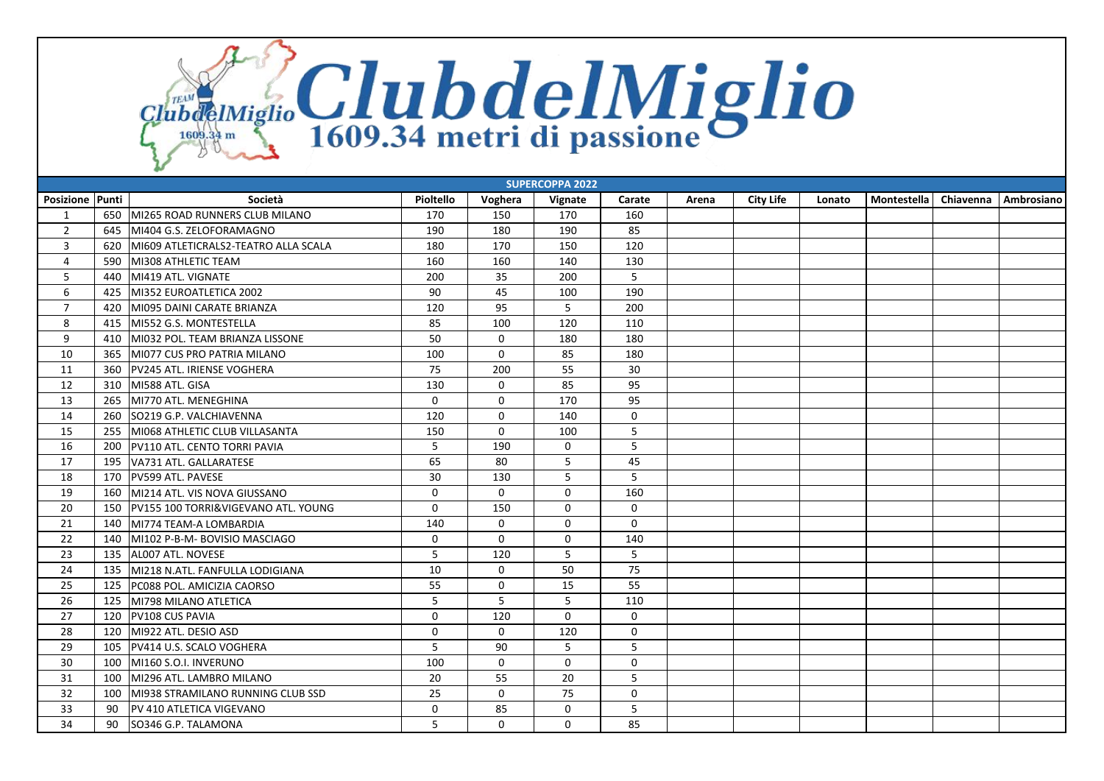ClubdeIMiglio ClubdelMiglio

| <b>SUPERCOPPA 2022</b> |     |                                      |              |              |              |             |       |                  |        |             |           |            |
|------------------------|-----|--------------------------------------|--------------|--------------|--------------|-------------|-------|------------------|--------|-------------|-----------|------------|
| <b>Posizione Punti</b> |     | Società                              | Pioltello    | Voghera      | Vignate      | Carate      | Arena | <b>City Life</b> | Lonato | Montestella | Chiavenna | Ambrosiano |
| 1                      |     | 650 MI265 ROAD RUNNERS CLUB MILANO   | 170          | 150          | 170          | 160         |       |                  |        |             |           |            |
| $\overline{2}$         | 645 | MI404 G.S. ZELOFORAMAGNO             | 190          | 180          | 190          | 85          |       |                  |        |             |           |            |
| 3                      | 620 | MI609 ATLETICRALS2-TEATRO ALLA SCALA | 180          | 170          | 150          | 120         |       |                  |        |             |           |            |
| $\overline{4}$         | 590 | MI308 ATHLETIC TEAM                  | 160          | 160          | 140          | 130         |       |                  |        |             |           |            |
| 5                      | 440 | MI419 ATL. VIGNATE                   | 200          | 35           | 200          | 5           |       |                  |        |             |           |            |
| 6                      | 425 | MI352 EUROATLETICA 2002              | 90           | 45           | 100          | 190         |       |                  |        |             |           |            |
| $\overline{7}$         | 420 | MI095 DAINI CARATE BRIANZA           | 120          | 95           | 5            | 200         |       |                  |        |             |           |            |
| 8                      | 415 | MI552 G.S. MONTESTELLA               | 85           | 100          | 120          | 110         |       |                  |        |             |           |            |
| 9                      | 410 | MI032 POL. TEAM BRIANZA LISSONE      | 50           | $\mathbf 0$  | 180          | 180         |       |                  |        |             |           |            |
| 10                     | 365 | MI077 CUS PRO PATRIA MILANO          | 100          | $\mathbf 0$  | 85           | 180         |       |                  |        |             |           |            |
| 11                     | 360 | PV245 ATL. IRIENSE VOGHERA           | 75           | 200          | 55           | 30          |       |                  |        |             |           |            |
| 12                     | 310 | MI588 ATL. GISA                      | 130          | $\mathbf 0$  | 85           | 95          |       |                  |        |             |           |            |
| 13                     | 265 | MI770 ATL. MENEGHINA                 | $\mathbf 0$  | $\Omega$     | 170          | 95          |       |                  |        |             |           |            |
| 14                     | 260 | SO219 G.P. VALCHIAVENNA              | 120          | $\mathbf 0$  | 140          | $\mathbf 0$ |       |                  |        |             |           |            |
| 15                     | 255 | MI068 ATHLETIC CLUB VILLASANTA       | 150          | $\mathbf 0$  | 100          | 5           |       |                  |        |             |           |            |
| 16                     | 200 | PV110 ATL. CENTO TORRI PAVIA         | 5            | 190          | 0            | 5           |       |                  |        |             |           |            |
| 17                     | 195 | VA731 ATL. GALLARATESE               | 65           | 80           | 5            | 45          |       |                  |        |             |           |            |
| 18                     | 170 | <b>PV599 ATL. PAVESE</b>             | 30           | 130          | 5            | 5           |       |                  |        |             |           |            |
| 19                     | 160 | MI214 ATL, VIS NOVA GIUSSANO         | $\Omega$     | $\mathbf 0$  | $\mathbf 0$  | 160         |       |                  |        |             |           |            |
| 20                     | 150 | PV155 100 TORRI&VIGEVANO ATL. YOUNG  | $\mathbf 0$  | 150          | $\mathbf 0$  | $\mathbf 0$ |       |                  |        |             |           |            |
| 21                     | 140 | MI774 TEAM-A LOMBARDIA               | 140          | $\Omega$     | $\mathbf 0$  | $\mathbf 0$ |       |                  |        |             |           |            |
| 22                     | 140 | MI102 P-B-M- BOVISIO MASCIAGO        | $\mathbf 0$  | $\mathbf 0$  | $\mathbf 0$  | 140         |       |                  |        |             |           |            |
| 23                     | 135 | ALO07 ATL. NOVESE                    | 5            | 120          | 5            | 5           |       |                  |        |             |           |            |
| 24                     | 135 | MI218 N.ATL. FANFULLA LODIGIANA      | 10           | $\mathbf 0$  | 50           | 75          |       |                  |        |             |           |            |
| 25                     | 125 | PC088 POL. AMICIZIA CAORSO           | 55           | $\mathbf 0$  | 15           | 55          |       |                  |        |             |           |            |
| 26                     | 125 | MI798 MILANO ATLETICA                | 5            | 5            | 5            | 110         |       |                  |        |             |           |            |
| 27                     | 120 | <b>PV108 CUS PAVIA</b>               | $\mathbf 0$  | 120          | $\mathbf 0$  | $\mathbf 0$ |       |                  |        |             |           |            |
| 28                     | 120 | MI922 ATL. DESIO ASD                 | $\mathbf{0}$ | $\mathbf{0}$ | 120          | $\mathbf 0$ |       |                  |        |             |           |            |
| 29                     | 105 | PV414 U.S. SCALO VOGHERA             | 5            | 90           | 5            | 5           |       |                  |        |             |           |            |
| 30                     | 100 | MI160 S.O.I. INVERUNO                | 100          | $\mathbf{0}$ | $\mathbf{0}$ | $\mathbf 0$ |       |                  |        |             |           |            |
| 31                     | 100 | MI296 ATL. LAMBRO MILANO             | 20           | 55           | 20           | 5           |       |                  |        |             |           |            |
| 32                     | 100 | MI938 STRAMILANO RUNNING CLUB SSD    | 25           | $\mathbf{0}$ | 75           | $\Omega$    |       |                  |        |             |           |            |
| 33                     | 90  | PV 410 ATLETICA VIGEVANO             | $\mathbf 0$  | 85           | $\mathbf 0$  | 5           |       |                  |        |             |           |            |
| 34                     | 90  | SO346 G.P. TALAMONA                  | 5            | $\mathbf{0}$ | $\mathbf{0}$ | 85          |       |                  |        |             |           |            |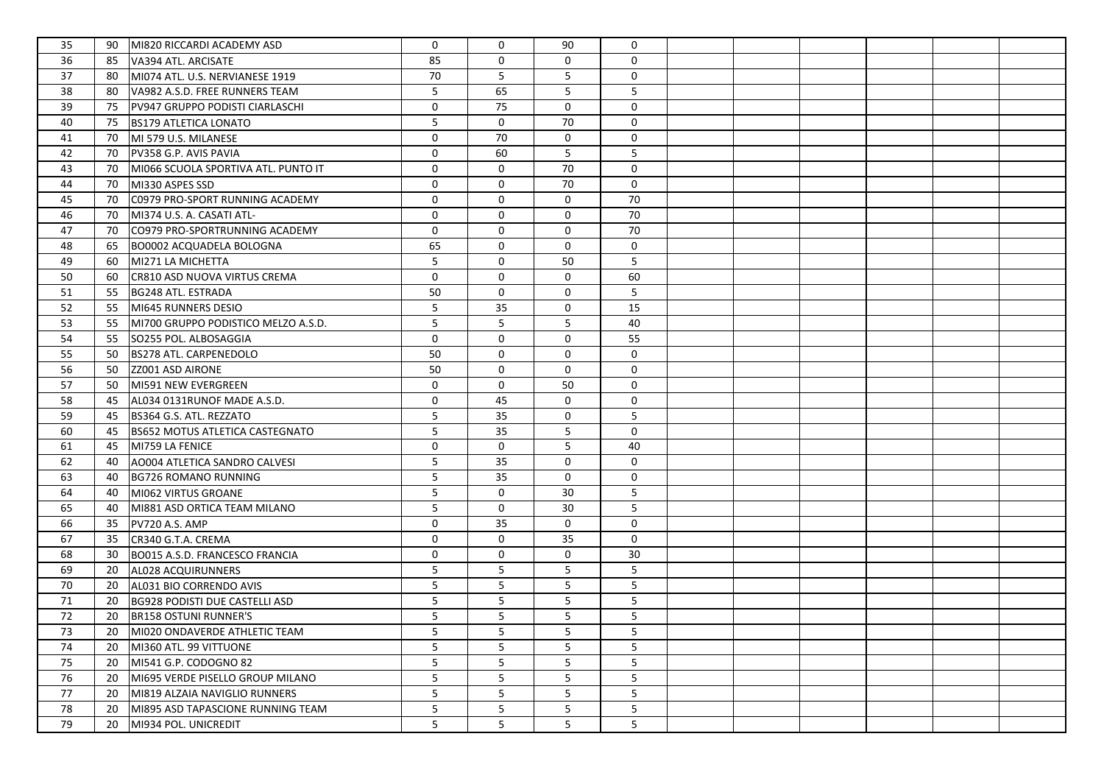| 35 | 90 | MI820 RICCARDI ACADEMY ASD             | $\mathbf 0$ | $\Omega$    | 90           | 0               |  |  |  |
|----|----|----------------------------------------|-------------|-------------|--------------|-----------------|--|--|--|
| 36 | 85 | VA394 ATL. ARCISATE                    | 85          | 0           | $\mathbf{0}$ | $\mathbf 0$     |  |  |  |
| 37 | 80 | MI074 ATL. U.S. NERVIANESE 1919        | 70          | 5           | 5            | 0               |  |  |  |
| 38 | 80 | VA982 A.S.D. FREE RUNNERS TEAM         | 5           | 65          | 5            | 5               |  |  |  |
| 39 | 75 | PV947 GRUPPO PODISTI CIARLASCHI        | $\mathbf 0$ | 75          | $\mathbf 0$  | 0               |  |  |  |
| 40 | 75 | <b>BS179 ATLETICA LONATO</b>           | 5           | $\mathbf 0$ | 70           | $\mathbf 0$     |  |  |  |
| 41 | 70 | MI 579 U.S. MILANESE                   | $\mathbf 0$ | 70          | $\mathbf 0$  | 0               |  |  |  |
| 42 | 70 | PV358 G.P. AVIS PAVIA                  | $\mathbf 0$ | 60          | 5            | 5               |  |  |  |
| 43 | 70 | MI066 SCUOLA SPORTIVA ATL. PUNTO IT    | 0           | 0           | 70           | $\mathbf 0$     |  |  |  |
| 44 | 70 | MI330 ASPES SSD                        | 0           | 0           | 70           | $\mathbf 0$     |  |  |  |
| 45 | 70 | C0979 PRO-SPORT RUNNING ACADEMY        | $\mathbf 0$ | 0           | $\mathbf 0$  | 70              |  |  |  |
| 46 | 70 | MI374 U.S. A. CASATI ATL-              | $\mathbf 0$ | 0           | $\mathbf 0$  | 70              |  |  |  |
| 47 | 70 | CO979 PRO-SPORTRUNNING ACADEMY         | $\mathbf 0$ | 0           | $\mathbf 0$  | 70              |  |  |  |
| 48 | 65 | BO0002 ACQUADELA BOLOGNA               | 65          | 0           | $\mathbf 0$  | 0               |  |  |  |
| 49 | 60 | MI271 LA MICHETTA                      | 5           | 0           | 50           | 5               |  |  |  |
| 50 | 60 | CR810 ASD NUOVA VIRTUS CREMA           | 0           | 0           | 0            | 60              |  |  |  |
| 51 | 55 | BG248 ATL. ESTRADA                     | 50          | 0           | 0            | 5               |  |  |  |
| 52 | 55 | MI645 RUNNERS DESIO                    | 5           | 35          | 0            | 15              |  |  |  |
| 53 | 55 | MI700 GRUPPO PODISTICO MELZO A.S.D.    | 5           | 5           | 5            | 40              |  |  |  |
| 54 | 55 | SO255 POL. ALBOSAGGIA                  | 0           | $\mathbf 0$ | 0            | 55              |  |  |  |
| 55 | 50 | <b>BS278 ATL. CARPENEDOLO</b>          | 50          | $\mathbf 0$ | 0            | 0               |  |  |  |
| 56 | 50 | ZZ001 ASD AIRONE                       | 50          | $\mathbf 0$ | 0            | 0               |  |  |  |
| 57 | 50 | MI591 NEW EVERGREEN                    | 0           | 0           | 50           | 0               |  |  |  |
| 58 | 45 | AL034 0131RUNOF MADE A.S.D.            | $\mathbf 0$ | 45          | 0            | 0               |  |  |  |
| 59 | 45 | BS364 G.S. ATL. REZZATO                | 5           | 35          | 0            | 5               |  |  |  |
| 60 | 45 | <b>BS652 MOTUS ATLETICA CASTEGNATO</b> | 5           | 35          | 5            | 0               |  |  |  |
| 61 | 45 | MI759 LA FENICE                        | $\mathbf 0$ | $\mathbf 0$ | 5            | 40              |  |  |  |
| 62 | 40 | AO004 ATLETICA SANDRO CALVESI          | 5           | 35          | 0            | 0               |  |  |  |
| 63 | 40 | <b>BG726 ROMANO RUNNING</b>            | 5           | 35          | 0            | 0               |  |  |  |
| 64 | 40 | MI062 VIRTUS GROANE                    | 5           | $\mathbf 0$ | 30           | 5               |  |  |  |
| 65 | 40 | MI881 ASD ORTICA TEAM MILANO           | 5           | $\mathbf 0$ | 30           | 5               |  |  |  |
| 66 | 35 | PV720 A.S. AMP                         | $\mathbf 0$ | 35          | $\mathbf 0$  | $\mathbf 0$     |  |  |  |
| 67 | 35 | CR340 G.T.A. CREMA                     | 0           | $\mathbf 0$ | 35           | $\mathbf 0$     |  |  |  |
| 68 | 30 | BO015 A.S.D. FRANCESCO FRANCIA         | 0           | $\mathbf 0$ | 0            | 30              |  |  |  |
| 69 | 20 | AL028 ACQUIRUNNERS                     | 5           | 5           | 5            | 5               |  |  |  |
| 70 | 20 | AL031 BIO CORRENDO AVIS                | 5           | 5           | 5            | 5               |  |  |  |
| 71 | 20 | <b>BG928 PODISTI DUE CASTELLI ASD</b>  | 5           | 5           | 5            | 5               |  |  |  |
| 72 | 20 | <b>BR158 OSTUNI RUNNER'S</b>           | 5           | 5           | 5            | 5               |  |  |  |
| 73 | 20 | MI020 ONDAVERDE ATHLETIC TEAM          | 5           | 5           | 5            | 5               |  |  |  |
| 74 | 20 | MI360 ATL. 99 VITTUONE                 | 5           | 5           | 5            | 5               |  |  |  |
| 75 | 20 | MI541 G.P. CODOGNO 82                  | 5           | 5           | 5            | 5               |  |  |  |
| 76 | 20 | MI695 VERDE PISELLO GROUP MILANO       | 5           | 5           | 5            | $5\phantom{.0}$ |  |  |  |
| 77 | 20 | MI819 ALZAIA NAVIGLIO RUNNERS          | 5           | 5           | 5            | 5               |  |  |  |
| 78 | 20 | MI895 ASD TAPASCIONE RUNNING TEAM      | 5           | 5           | 5            | 5               |  |  |  |
| 79 | 20 | MI934 POL. UNICREDIT                   | 5           | 5           | 5            | 5               |  |  |  |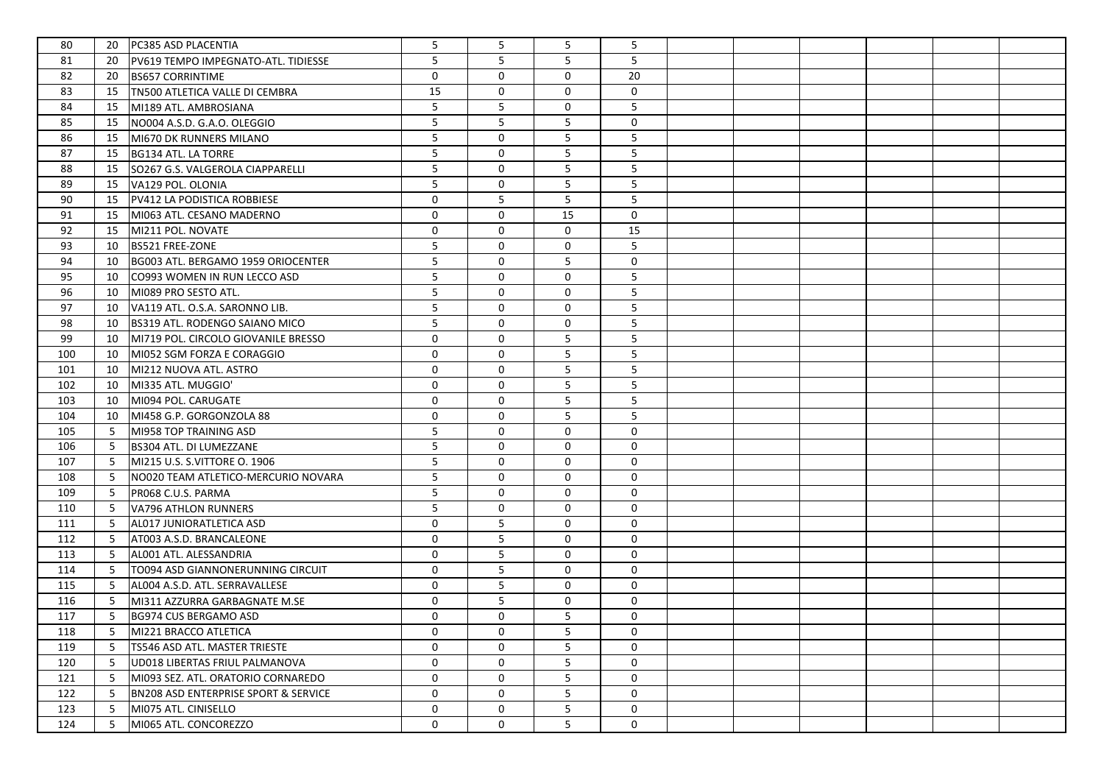| 80  | 20 | <b>PC385 ASD PLACENTIA</b>                      | 5            | 5            | 5           | 5           |  |  |  |
|-----|----|-------------------------------------------------|--------------|--------------|-------------|-------------|--|--|--|
| 81  | 20 | PV619 TEMPO IMPEGNATO-ATL. TIDIESSE             | 5            | 5            | 5           | 5           |  |  |  |
| 82  | 20 | <b>BS657 CORRINTIME</b>                         | $\mathbf 0$  | 0            | $\mathbf 0$ | 20          |  |  |  |
| 83  | 15 | TN500 ATLETICA VALLE DI CEMBRA                  | 15           | $\mathbf 0$  | $\mathbf 0$ | 0           |  |  |  |
| 84  | 15 | MI189 ATL. AMBROSIANA                           | 5            | 5            | 0           | 5           |  |  |  |
| 85  | 15 | NO004 A.S.D. G.A.O. OLEGGIO                     | 5            | 5            | 5           | 0           |  |  |  |
| 86  | 15 | MI670 DK RUNNERS MILANO                         | 5            | $\mathbf{0}$ | 5           | 5           |  |  |  |
| 87  | 15 | BG134 ATL. LA TORRE                             | 5            | $\mathbf 0$  | 5           | 5           |  |  |  |
| 88  | 15 | SO267 G.S. VALGEROLA CIAPPARELLI                | 5            | 0            | 5           | 5           |  |  |  |
| 89  | 15 | VA129 POL. OLONIA                               | 5            | $\mathbf 0$  | 5           | 5           |  |  |  |
| 90  | 15 | PV412 LA PODISTICA ROBBIESE                     | 0            | 5            | 5           | 5           |  |  |  |
| 91  | 15 | MI063 ATL. CESANO MADERNO                       | $\mathbf 0$  | 0            | 15          | 0           |  |  |  |
| 92  | 15 | MI211 POL. NOVATE                               | $\mathbf 0$  | 0            | $\mathbf 0$ | 15          |  |  |  |
| 93  | 10 | <b>BS521 FREE-ZONE</b>                          | 5            | 0            | $\mathbf 0$ | 5           |  |  |  |
| 94  | 10 | BG003 ATL. BERGAMO 1959 ORIOCENTER              | 5            | 0            | 5           | $\mathbf 0$ |  |  |  |
| 95  | 10 | CO993 WOMEN IN RUN LECCO ASD                    | 5            | 0            | $\mathbf 0$ | 5           |  |  |  |
| 96  | 10 | MI089 PRO SESTO ATL.                            | 5            | 0            | 0           | 5           |  |  |  |
| 97  | 10 | VA119 ATL. O.S.A. SARONNO LIB.                  | 5            | 0            | 0           | 5           |  |  |  |
| 98  | 10 | BS319 ATL. RODENGO SAIANO MICO                  | 5            | 0            | 0           | 5           |  |  |  |
| 99  | 10 | MI719 POL. CIRCOLO GIOVANILE BRESSO             | 0            | $\mathbf 0$  | 5           | 5           |  |  |  |
| 100 | 10 | MI052 SGM FORZA E CORAGGIO                      | $\mathbf{0}$ | $\mathbf 0$  | 5           | 5           |  |  |  |
| 101 | 10 | MI212 NUOVA ATL. ASTRO                          | 0            | $\mathbf 0$  | 5           | 5           |  |  |  |
| 102 | 10 | MI335 ATL. MUGGIO'                              | 0            | $\mathbf 0$  | 5           | 5           |  |  |  |
| 103 | 10 | MI094 POL. CARUGATE                             | 0            | 0            | 5           | 5           |  |  |  |
| 104 | 10 | MI458 G.P. GORGONZOLA 88                        | 0            | 0            | 5           | 5           |  |  |  |
| 105 | 5  | MI958 TOP TRAINING ASD                          | 5            | 0            | 0           | 0           |  |  |  |
| 106 | 5  | <b>BS304 ATL. DI LUMEZZANE</b>                  | 5            | 0            | $\mathbf 0$ | 0           |  |  |  |
| 107 | 5  | MI215 U.S. S.VITTORE O. 1906                    | 5            | 0            | $\mathbf 0$ | $\mathbf 0$ |  |  |  |
| 108 | 5  | NO020 TEAM ATLETICO-MERCURIO NOVARA             | 5            | $\mathbf 0$  | 0           | 0           |  |  |  |
| 109 | 5  | PR068 C.U.S. PARMA                              | 5            | $\mathbf 0$  | 0           | 0           |  |  |  |
| 110 | 5  | VA796 ATHLON RUNNERS                            | 5            | $\mathbf 0$  | 0           | $\mathbf 0$ |  |  |  |
| 111 | 5  | AL017 JUNIORATLETICA ASD                        | $\mathbf 0$  | 5            | 0           | $\mathbf 0$ |  |  |  |
| 112 | 5  | AT003 A.S.D. BRANCALEONE                        | $\mathbf 0$  | 5            | 0           | $\mathbf 0$ |  |  |  |
| 113 | 5  | AL001 ATL. ALESSANDRIA                          | 0            | 5            | $\mathbf 0$ | $\mathbf 0$ |  |  |  |
| 114 | 5  | TO094 ASD GIANNONERUNNING CIRCUIT               | $\mathbf 0$  | 5            | $\mathbf 0$ | $\mathbf 0$ |  |  |  |
| 115 | 5  | AL004 A.S.D. ATL. SERRAVALLESE                  | $\mathbf 0$  | 5            | 0           | $\mathbf 0$ |  |  |  |
| 116 | 5  | MI311 AZZURRA GARBAGNATE M.SE                   | 0            | 5            | 0           | 0           |  |  |  |
| 117 | 5  | BG974 CUS BERGAMO ASD                           | 0            | 0            | 5           | $\mathbf 0$ |  |  |  |
| 118 | 5  | MI221 BRACCO ATLETICA                           | 0            | 0            | 5           | 0           |  |  |  |
| 119 | 5  | TS546 ASD ATL. MASTER TRIESTE                   | $\mathbf{0}$ | $\Omega$     | 5           | 0           |  |  |  |
| 120 | 5  | UD018 LIBERTAS FRIUL PALMANOVA                  | 0            | 0            | 5           | 0           |  |  |  |
| 121 | 5  | MI093 SEZ. ATL. ORATORIO CORNAREDO              | 0            | $\mathbf{0}$ | 5           | 0           |  |  |  |
| 122 | 5  | <b>BN208 ASD ENTERPRISE SPORT &amp; SERVICE</b> | 0            | 0            | 5           | 0           |  |  |  |
| 123 | 5  | MI075 ATL. CINISELLO                            | 0            | 0            | 5           | 0           |  |  |  |
| 124 | 5  | MI065 ATL. CONCOREZZO                           | $\mathsf{O}$ | $\mathbf 0$  | 5           | 0           |  |  |  |